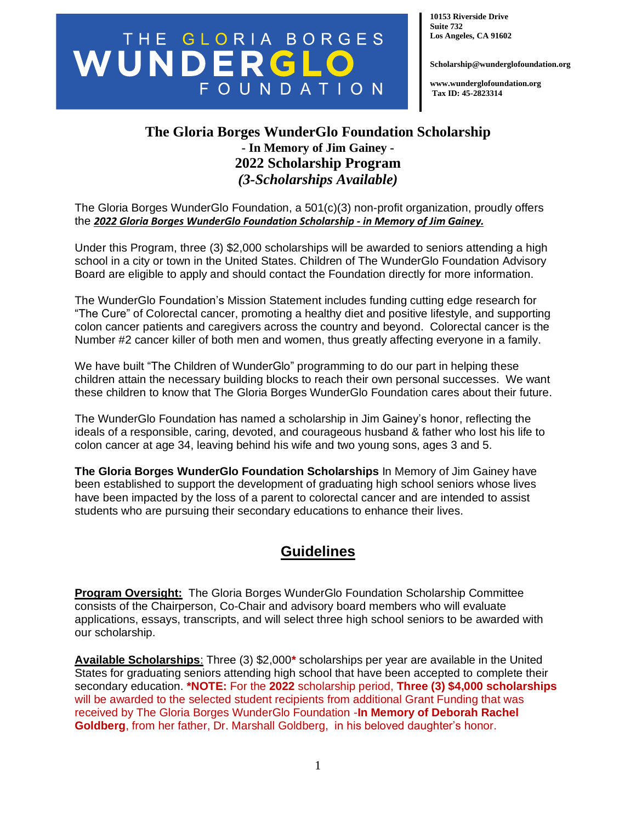# THE GLORIA BORGES FOUNDATION

**10153 Riverside Drive Suite 732 Los Angeles, CA 91602**

**Scholarship@wunderglofoundation.org**

**www.wunderglofoundation.org Tax ID: 45-2823314**

### **The Gloria Borges WunderGlo Foundation Scholarship - In Memory of Jim Gainey - 2022 Scholarship Program** *(3-Scholarships Available)*

The Gloria Borges WunderGlo Foundation, a 501(c)(3) non-profit organization, proudly offers the *2022 Gloria Borges WunderGlo Foundation Scholarship - in Memory of Jim Gainey.*

Under this Program, three (3) \$2,000 scholarships will be awarded to seniors attending a high school in a city or town in the United States. Children of The WunderGlo Foundation Advisory Board are eligible to apply and should contact the Foundation directly for more information.

The WunderGlo Foundation's Mission Statement includes funding cutting edge research for "The Cure" of Colorectal cancer, promoting a healthy diet and positive lifestyle, and supporting colon cancer patients and caregivers across the country and beyond. Colorectal cancer is the Number #2 cancer killer of both men and women, thus greatly affecting everyone in a family.

We have built "The Children of WunderGlo" programming to do our part in helping these children attain the necessary building blocks to reach their own personal successes. We want these children to know that The Gloria Borges WunderGlo Foundation cares about their future.

The WunderGlo Foundation has named a scholarship in Jim Gainey's honor, reflecting the ideals of a responsible, caring, devoted, and courageous husband & father who lost his life to colon cancer at age 34, leaving behind his wife and two young sons, ages 3 and 5.

**The Gloria Borges WunderGlo Foundation Scholarships** In Memory of Jim Gainey have been established to support the development of graduating high school seniors whose lives have been impacted by the loss of a parent to colorectal cancer and are intended to assist students who are pursuing their secondary educations to enhance their lives.

### **Guidelines**

**Program Oversight:** The Gloria Borges WunderGlo Foundation Scholarship Committee consists of the Chairperson, Co-Chair and advisory board members who will evaluate applications, essays, transcripts, and will select three high school seniors to be awarded with our scholarship.

**Available Scholarships**: Three (3) \$2,000**\*** scholarships per year are available in the United States for graduating seniors attending high school that have been accepted to complete their secondary education. **\*NOTE:** For the **2022** scholarship period, **Three (3) \$4,000 scholarships**  will be awarded to the selected student recipients from additional Grant Funding that was received by The Gloria Borges WunderGlo Foundation -**In Memory of Deborah Rachel Goldberg**, from her father, Dr. Marshall Goldberg, in his beloved daughter's honor.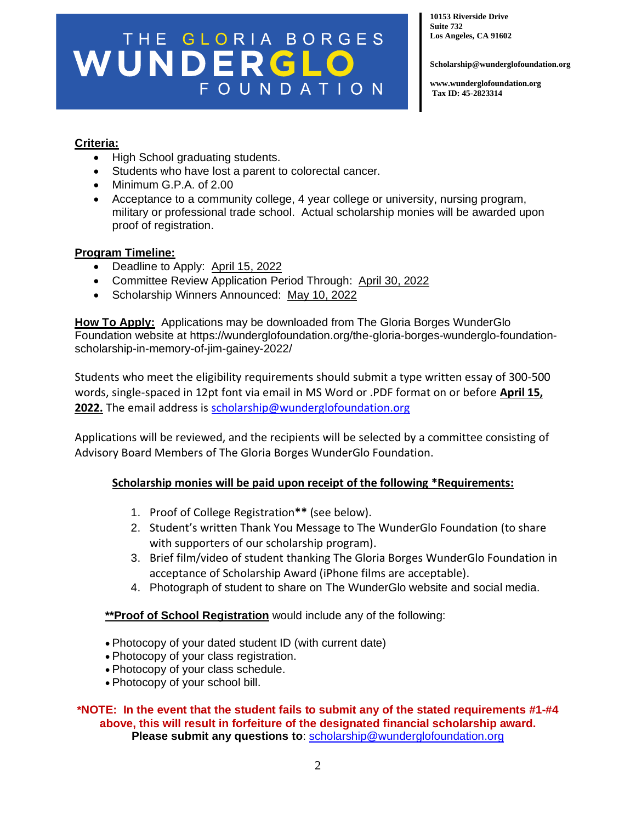# THE GLORIA BORGES FOUNDATION

**10153 Riverside Drive Suite 732 Los Angeles, CA 91602**

**Scholarship@wunderglofoundation.org**

**www.wunderglofoundation.org Tax ID: 45-2823314**

#### **Criteria:**

- High School graduating students.
- Students who have lost a parent to colorectal cancer.
- Minimum G.P.A. of 2.00
- Acceptance to a community college, 4 year college or university, nursing program, military or professional trade school. Actual scholarship monies will be awarded upon proof of registration.

#### **Program Timeline:**

- Deadline to Apply: April 15, 2022
- Committee Review Application Period Through: April 30, 2022
- Scholarship Winners Announced: May 10, 2022

**How To Apply:** Applications may be downloaded from The Gloria Borges WunderGlo Foundation website at https://wunderglofoundation.org/the-gloria-borges-wunderglo-foundationscholarship-in-memory-of-jim-gainey-2022/

Students who meet the eligibility requirements should submit a type written essay of 300-500 words, single-spaced in 12pt font via email in MS Word or .PDF format on or before **April 15, 2022.** The email address is [scholarship@wunderglofoundation.org](mailto:scholarship@wunderglofoundation.org)

Applications will be reviewed, and the recipients will be selected by a committee consisting of Advisory Board Members of The Gloria Borges WunderGlo Foundation.

#### **Scholarship monies will be paid upon receipt of the following \*Requirements:**

- 1. Proof of College Registration**\*\*** (see below).
- 2. Student's written Thank You Message to The WunderGlo Foundation (to share with supporters of our scholarship program).
- 3. Brief film/video of student thanking The Gloria Borges WunderGlo Foundation in acceptance of Scholarship Award (iPhone films are acceptable).
- 4. Photograph of student to share on The WunderGlo website and social media.

#### **\*\*Proof of School Registration** would include any of the following:

- Photocopy of your dated student ID (with current date)
- Photocopy of your class registration.
- Photocopy of your class schedule.
- Photocopy of your school bill.

#### **\*NOTE: In the event that the student fails to submit any of the stated requirements #1-#4 above, this will result in forfeiture of the designated financial scholarship award. Please submit any questions to**: [scholarship@wunderglofoundation.org](mailto:scholarship@wunderglofoundation.org)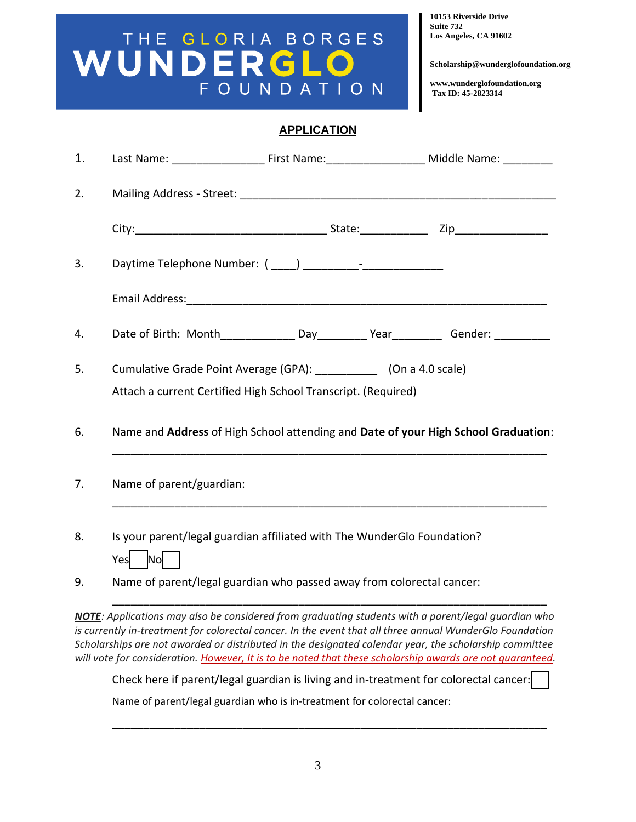# THE GLORIA BORGES FOUNDATION

**10153 Riverside Drive Suite 732 Los Angeles, CA 91602**

**Scholarship@wunderglofoundation.org**

**www.wunderglofoundation.org Tax ID: 45-2823314**

#### **APPLICATION**

| 1. |                                                                                                                              | Last Name: ___________________________First Name: _______________________________ Middle Name: ___________ |  |
|----|------------------------------------------------------------------------------------------------------------------------------|------------------------------------------------------------------------------------------------------------|--|
| 2. |                                                                                                                              |                                                                                                            |  |
|    |                                                                                                                              |                                                                                                            |  |
| 3. |                                                                                                                              |                                                                                                            |  |
|    |                                                                                                                              |                                                                                                            |  |
| 4. |                                                                                                                              | Date of Birth: Month________________Day_____________Year_____________Gender: ______________________        |  |
| 5. | Cumulative Grade Point Average (GPA): [10] (On a 4.0 scale)<br>Attach a current Certified High School Transcript. (Required) |                                                                                                            |  |
| 6. | Name and Address of High School attending and Date of your High School Graduation:                                           |                                                                                                            |  |
| 7. | Name of parent/guardian:                                                                                                     |                                                                                                            |  |
| 8. | Is your parent/legal guardian affiliated with The WunderGlo Foundation?<br>Yes No                                            |                                                                                                            |  |
| 9. | Name of parent/legal guardian who passed away from colorectal cancer:                                                        |                                                                                                            |  |

*NOTE: Applications may also be considered from graduating students with a parent/legal guardian who is currently in-treatment for colorectal cancer. In the event that all three annual WunderGlo Foundation Scholarships are not awarded or distributed in the designated calendar year, the scholarship committee will vote for consideration. However, It is to be noted that these scholarship awards are not guaranteed.* 

Check here if parent/legal guardian is living and in-treatment for colorectal cancer:

\_\_\_\_\_\_\_\_\_\_\_\_\_\_\_\_\_\_\_\_\_\_\_\_\_\_\_\_\_\_\_\_\_\_\_\_\_\_\_\_\_\_\_\_\_\_\_\_\_\_\_\_\_\_\_\_\_\_\_\_\_\_\_\_\_\_\_\_\_\_

Name of parent/legal guardian who is in-treatment for colorectal cancer: